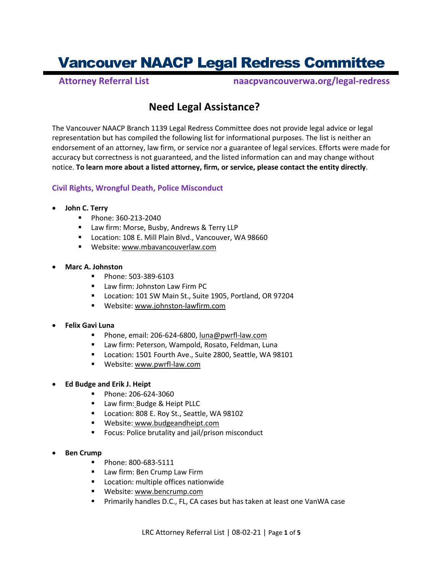# Vancouver NAACP Legal Redress Committee **Attorney Referral List naacpvancouverwa.org/legal-redress**

# **Need Legal Assistance?**

The Vancouver NAACP Branch 1139 Legal Redress Committee does not provide legal advice or legal representation but has compiled the following list for informational purposes. The list is neither an endorsement of an attorney, law firm, or service nor a guarantee of legal services. Efforts were made for accuracy but correctness is not guaranteed, and the listed information can and may change without notice. **To learn more about a listed attorney, firm, or service, please contact the entity directly**.

# **Civil Rights, Wrongful Death, Police Misconduct**

# • **John C. Terry**

- Phone: 360-213-2040
- Law firm: Morse, Busby, Andrews & Terry LLP
- Location: 108 E. Mill Plain Blvd., Vancouver, WA 98660
- Website[: www.mbavancouverlaw.com](http://www.mbavancouverlaw.com/)

#### • **Marc A. Johnston**

- Phone: 503-389-6103
- Law firm: Johnston Law Firm PC
- Location: 101 SW Main St., Suite 1905, Portland, OR 97204
- Website[: www.johnston-lawfirm.com](http://www.johnston-lawfirm.com/)

#### • **Felix Gavi Luna**

- Phone, email: 206-624-6800[, luna@pwrfl-law.com](mailto:luna@pwrfl-law.com)
- Law firm: Peterson, Wampold, Rosato, Feldman, Luna
- Location: 1501 Fourth Ave., Suite 2800, Seattle, WA 98101
- Website[: www.pwrfl-law.com](http://www.pwrfl-law.com/)
- **Ed Budge and Erik J. Heipt**
	- Phone: 206-624-3060
	- Law firm: Budge & Heipt PLLC
	- Location: 808 E. Roy St., Seattle, WA 98102
	- Website: [www.budgeandheipt.com](http://www.budgeandheipt.com/)
	- Focus: Police brutality and jail/prison misconduct
- **Ben Crump**
	- Phone: 800-683-5111
	- Law firm: Ben Crump Law Firm
	- Location: multiple offices nationwide
	- Website[: www.bencrump.com](http://www.bencrump.com/)
	- Primarily handles D.C., FL, CA cases but has taken at least one VanWA case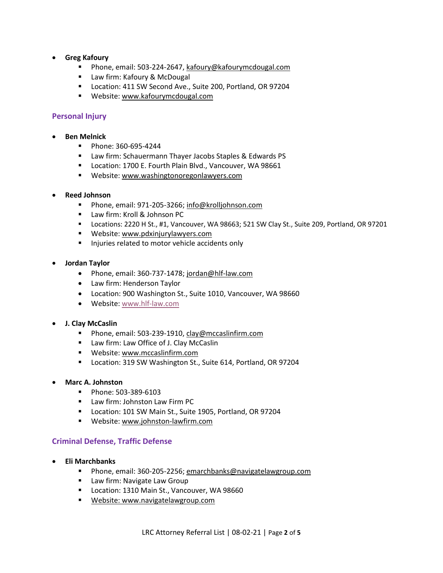- **Greg Kafoury**
	- Phone, email: 503-224-2647[, kafoury@kafourymcdougal.com](mailto:kafoury@kafourymcdougal.com)
	- Law firm: Kafoury & McDougal
	- Location: 411 SW Second Ave., Suite 200, Portland, OR 97204
	- Website[: www.kafourymcdougal.com](http://www.kafourymcdougal.com/)

# **Personal Injury**

- **Ben Melnick**
	- Phone: 360-695-4244
	- Law firm: Schauermann Thayer Jacobs Staples & Edwards PS
	- Location: 1700 E. Fourth Plain Blvd., Vancouver, WA 98661
	- Website[: www.washingtonoregonlawyers.com](http://www.washingtonoregonlawyers.com/)

#### • **Reed Johnson**

- Phone, email: 971-205-3266[; info@krolljohnson.com](mailto:info@krolljohnson.com)
- Law firm: Kroll & Johnson PC
- Locations: 2220 H St., #1, Vancouver, WA 98663; 521 SW Clay St., Suite 209, Portland, OR 97201
- **■** Website[: www.pdxinjurylawyers.com](http://www.pdxinjurylawyers.com/)
- Injuries related to motor vehicle accidents only
- **Jordan Taylor**
	- Phone, email: 360-737-1478[; jordan@hlf-law.com](mailto:jordan@hlf-law.com)
	- Law firm: Henderson Taylor
	- Location: 900 Washington St., Suite 1010, Vancouver, WA 98660
	- Website[: www.hlf-law.com](http://www.hlf-law.com/)

#### • **J. Clay McCaslin**

- Phone, email: 503-239-1910[, clay@mccaslinfirm.com](mailto:clay@mccaslinfirm.com)
- Law firm: Law Office of J. Clay McCaslin
- Website[: www.mccaslinfirm.com](http://www.mccaslinfirm.com/)
- Location: 319 SW Washington St., Suite 614, Portland, OR 97204
- **Marc A. Johnston**
	- Phone: 503-389-6103
	- Law firm: Johnston Law Firm PC
	- Location: 101 SW Main St., Suite 1905, Portland, OR 97204
	- Website[: www.johnston-lawfirm.com](http://www.johnston-lawfirm.com/)

#### **Criminal Defense, Traffic Defense**

- **Eli Marchbanks**
	- Phone, email: 360-205-2256[; emarchbanks@navigatelawgroup.com](mailto:emarchbanks@navigatelawgroup.com)
	- Law firm: Navigate Law Group
	- Location: 1310 Main St., Vancouver, WA 98660
	- Website[: www.navigatelawgroup.com](http://www.navigatelawgroup.com/)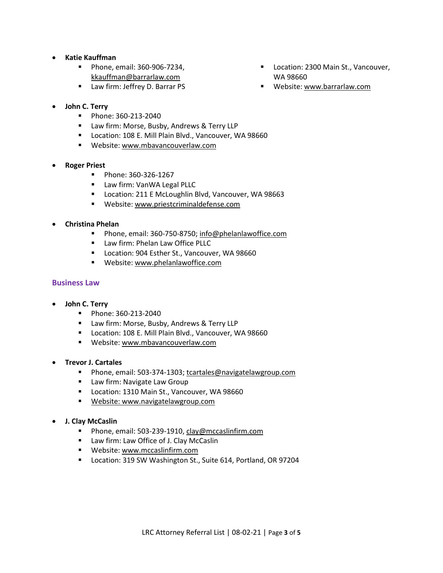- **Katie Kauffman**
	- Phone, email: 360-906-7234, [kkauffman@barrarlaw.com](mailto:kkauffman@barrarlaw.com)
	- Law firm: Jeffrey D. Barrar PS
- **John C. Terry**
	- Phone: 360-213-2040
	- Law firm: Morse, Busby, Andrews & Terry LLP
	- Location: 108 E. Mill Plain Blvd., Vancouver, WA 98660
	- Website[: www.mbavancouverlaw.com](http://www.mbavancouverlaw.com/)
- **Roger Priest**
	- Phone: 360-326-1267
	- Law firm: VanWA Legal PLLC
	- Location: 211 E McLoughlin Blvd, Vancouver, WA 98663
	- Website[: www.priestcriminaldefense.com](http://www.priestcriminaldefense.com/)
- **Christina Phelan**
	- Phone, email: 360-750-8750[; info@phelanlawoffice.com](mailto:info@phelanlawoffice.com)
	- Law firm: Phelan Law Office PLLC
	- Location: 904 Esther St., Vancouver, WA 98660
	- **■** Website[: www.phelanlawoffice.com](http://www.phelanlawoffice.com/)

# **Business Law**

- **John C. Terry**
	- Phone: 360-213-2040
	- Law firm: Morse, Busby, Andrews & Terry LLP
	- Location: 108 E. Mill Plain Blvd., Vancouver, WA 98660
	- Website[: www.mbavancouverlaw.com](http://www.mbavancouverlaw.com/)
- **Trevor J. Cartales**
	- Phone, email: 503-374-1303[; tcartales@navigatelawgroup.com](mailto:tcartales@navigatelawgroup.com)
	- Law firm: Navigate Law Group
	- Location: 1310 Main St., Vancouver, WA 98660
	- **E** Website[: www.navigatelawgroup.com](http://www.navigatelawgroup.com/)
- **J. Clay McCaslin**
	- Phone, email: 503-239-1910[, clay@mccaslinfirm.com](mailto:clay@mccaslinfirm.com)
	- Law firm: Law Office of J. Clay McCaslin
	- **■** Website[: www.mccaslinfirm.com](http://www.mccaslinfirm.com/)
	- Location: 319 SW Washington St., Suite 614, Portland, OR 97204
- Location: 2300 Main St., Vancouver, WA 98660
- Website[: www.barrarlaw.com](http://www.barrarlaw.com/)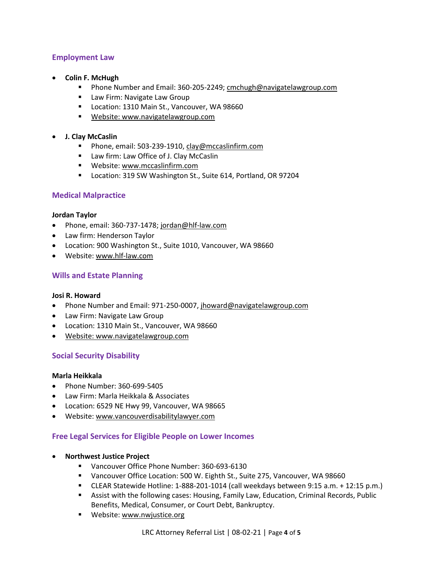# **Employment Law**

- **Colin F. McHugh**
	- Phone Number and Email: 360-205-2249[; cmchugh@navigatelawgroup.com](mailto:cmchugh@navigatelawgroup.com)
	- Law Firm: Navigate Law Group
	- Location: 1310 Main St., Vancouver, WA 98660
	- Website[: www.navigatelawgroup.com](http://www.navigatelawgroup.com/)
- **J. Clay McCaslin**
	- Phone, email: 503-239-1910[, clay@mccaslinfirm.com](mailto:clay@mccaslinfirm.com)
	- Law firm: Law Office of J. Clay McCaslin
	- Website[: www.mccaslinfirm.com](http://www.mccaslinfirm.com/)
	- Location: 319 SW Washington St., Suite 614, Portland, OR 97204

# **Medical Malpractice**

#### **Jordan Taylor**

- Phone, email: 360-737-1478[; jordan@hlf-law.com](mailto:jordan@hlf-law.com)
- Law firm: Henderson Taylor
- Location: 900 Washington St., Suite 1010, Vancouver, WA 98660
- Website[: www.hlf-law.com](http://www.hlf-law.com/)

# **Wills and Estate Planning**

#### **Josi R. Howard**

- Phone Number and Email: 971-250-0007, [jhoward@navigatelawgroup.com](mailto:jhoward@navigatelawgroup.com)
- Law Firm: Navigate Law Group
- Location: 1310 Main St., Vancouver, WA 98660
- Website[: www.navigatelawgroup.com](http://www.navigatelawgroup.com/)

# **Social Security Disability**

### **Marla Heikkala**

- Phone Number: 360-699-5405
- Law Firm: Marla Heikkala & Associates
- Location: 6529 NE Hwy 99, Vancouver, WA 98665
- Website[: www.vancouverdisabilitylawyer.com](http://www.vancouverdisabilitylawyer.com/)

#### **Free Legal Services for Eligible People on Lower Incomes**

- **Northwest Justice Project**
	- Vancouver Office Phone Number: 360-693-6130
	- Vancouver Office Location: 500 W. Eighth St., Suite 275, Vancouver, WA 98660
	- CLEAR Statewide Hotline: 1-888-201-1014 (call weekdays between 9:15 a.m. + 12:15 p.m.)
	- Assist with the following cases: Housing, Family Law, Education, Criminal Records, Public Benefits, Medical, Consumer, or Court Debt, Bankruptcy.
	- **■** Website[: www.nwjustice.org](http://www.nwjustice.org/)